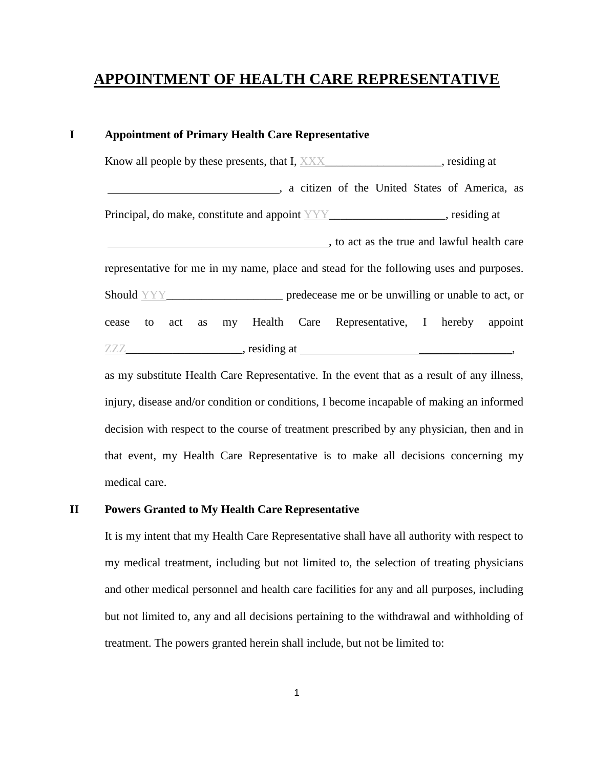# **APPOINTMENT OF HEALTH CARE REPRESENTATIVE**

# **I Appointment of Primary Health Care Representative**

Know all people by these presents, that I, XXX setting at residing at , a citizen of the United States of America, as Principal, do make, constitute and appoint  $YYY$ \_\_\_\_\_\_\_\_\_\_\_\_\_\_\_\_\_, residing at , to act as the true and lawful health care representative for me in my name, place and stead for the following uses and purposes. Should YYY\_\_\_\_\_\_\_\_\_\_\_\_\_\_\_\_\_\_\_\_\_\_\_\_\_\_\_\_\_ predecease me or be unwilling or unable to act, or cease to act as my Health Care Representative, I hereby appoint  $ZZZ$  is the contract of the contract of the contract of the contract of the contract of the contract of the contract of the contract of the contract of the contract of the contract of the contract of the contract of the c

as my substitute Health Care Representative. In the event that as a result of any illness, injury, disease and/or condition or conditions, I become incapable of making an informed decision with respect to the course of treatment prescribed by any physician, then and in that event, my Health Care Representative is to make all decisions concerning my medical care.

#### **II Powers Granted to My Health Care Representative**

It is my intent that my Health Care Representative shall have all authority with respect to my medical treatment, including but not limited to, the selection of treating physicians and other medical personnel and health care facilities for any and all purposes, including but not limited to, any and all decisions pertaining to the withdrawal and withholding of treatment. The powers granted herein shall include, but not be limited to: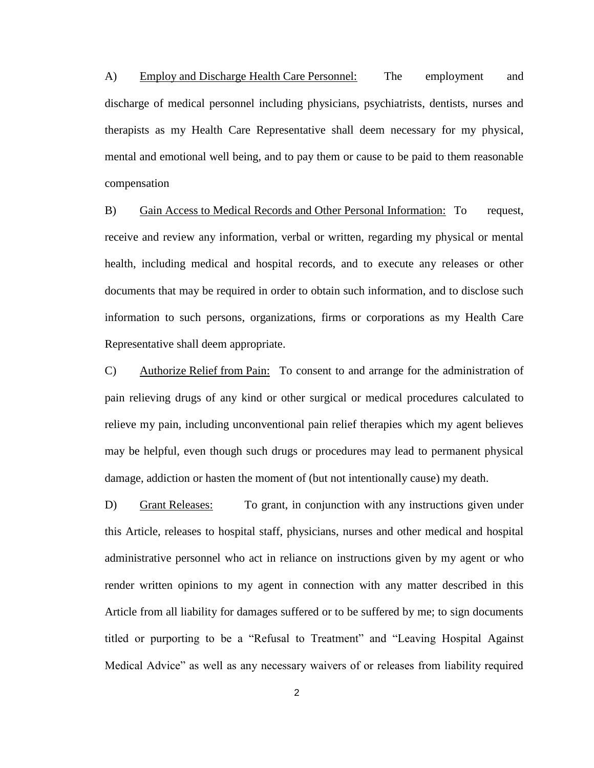A) Employ and Discharge Health Care Personnel: The employment and discharge of medical personnel including physicians, psychiatrists, dentists, nurses and therapists as my Health Care Representative shall deem necessary for my physical, mental and emotional well being, and to pay them or cause to be paid to them reasonable compensation

B) Gain Access to Medical Records and Other Personal Information: To request, receive and review any information, verbal or written, regarding my physical or mental health, including medical and hospital records, and to execute any releases or other documents that may be required in order to obtain such information, and to disclose such information to such persons, organizations, firms or corporations as my Health Care Representative shall deem appropriate.

C) Authorize Relief from Pain: To consent to and arrange for the administration of pain relieving drugs of any kind or other surgical or medical procedures calculated to relieve my pain, including unconventional pain relief therapies which my agent believes may be helpful, even though such drugs or procedures may lead to permanent physical damage, addiction or hasten the moment of (but not intentionally cause) my death.

D) Grant Releases: To grant, in conjunction with any instructions given under this Article, releases to hospital staff, physicians, nurses and other medical and hospital administrative personnel who act in reliance on instructions given by my agent or who render written opinions to my agent in connection with any matter described in this Article from all liability for damages suffered or to be suffered by me; to sign documents titled or purporting to be a "Refusal to Treatment" and "Leaving Hospital Against Medical Advice" as well as any necessary waivers of or releases from liability required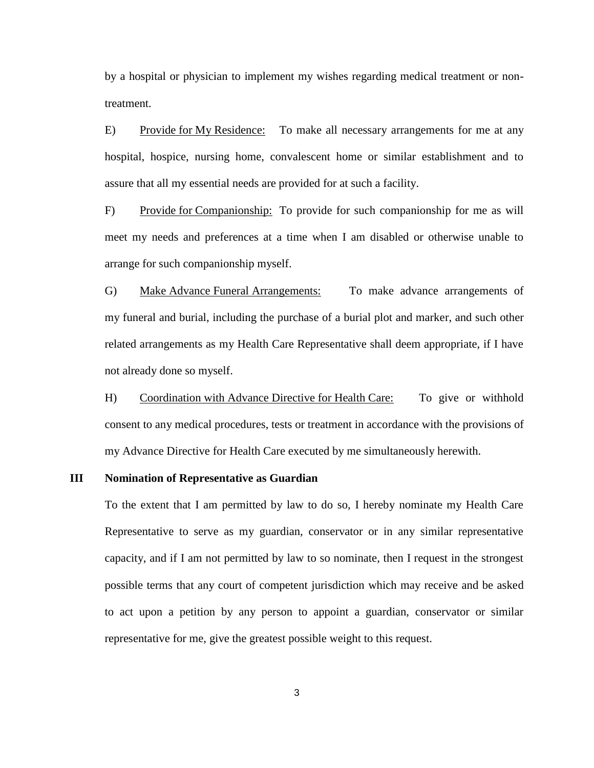by a hospital or physician to implement my wishes regarding medical treatment or nontreatment.

E) Provide for My Residence: To make all necessary arrangements for me at any hospital, hospice, nursing home, convalescent home or similar establishment and to assure that all my essential needs are provided for at such a facility.

F) Provide for Companionship: To provide for such companionship for me as will meet my needs and preferences at a time when I am disabled or otherwise unable to arrange for such companionship myself.

G) Make Advance Funeral Arrangements: To make advance arrangements of my funeral and burial, including the purchase of a burial plot and marker, and such other related arrangements as my Health Care Representative shall deem appropriate, if I have not already done so myself.

H) Coordination with Advance Directive for Health Care: To give or withhold consent to any medical procedures, tests or treatment in accordance with the provisions of my Advance Directive for Health Care executed by me simultaneously herewith.

#### **III Nomination of Representative as Guardian**

To the extent that I am permitted by law to do so, I hereby nominate my Health Care Representative to serve as my guardian, conservator or in any similar representative capacity, and if I am not permitted by law to so nominate, then I request in the strongest possible terms that any court of competent jurisdiction which may receive and be asked to act upon a petition by any person to appoint a guardian, conservator or similar representative for me, give the greatest possible weight to this request.

3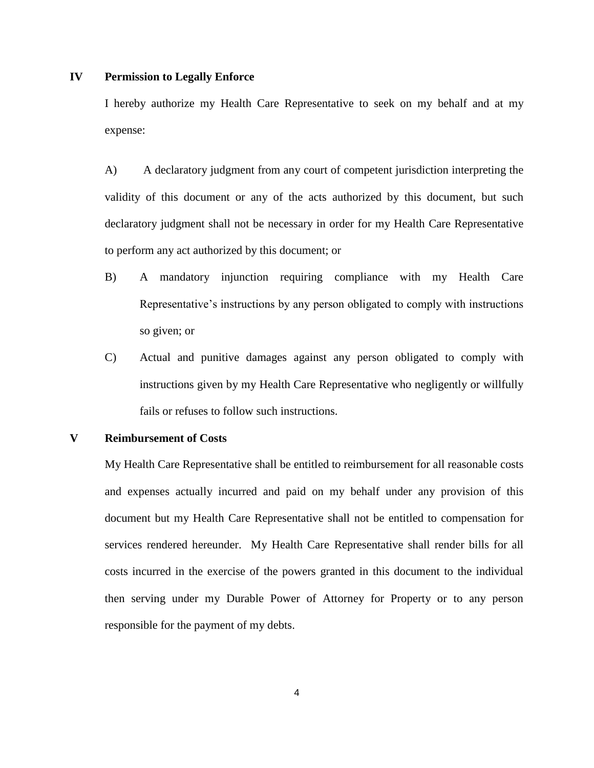## **IV Permission to Legally Enforce**

I hereby authorize my Health Care Representative to seek on my behalf and at my expense:

A) A declaratory judgment from any court of competent jurisdiction interpreting the validity of this document or any of the acts authorized by this document, but such declaratory judgment shall not be necessary in order for my Health Care Representative to perform any act authorized by this document; or

- B) A mandatory injunction requiring compliance with my Health Care Representative's instructions by any person obligated to comply with instructions so given; or
- C) Actual and punitive damages against any person obligated to comply with instructions given by my Health Care Representative who negligently or willfully fails or refuses to follow such instructions.

## **V Reimbursement of Costs**

My Health Care Representative shall be entitled to reimbursement for all reasonable costs and expenses actually incurred and paid on my behalf under any provision of this document but my Health Care Representative shall not be entitled to compensation for services rendered hereunder. My Health Care Representative shall render bills for all costs incurred in the exercise of the powers granted in this document to the individual then serving under my Durable Power of Attorney for Property or to any person responsible for the payment of my debts.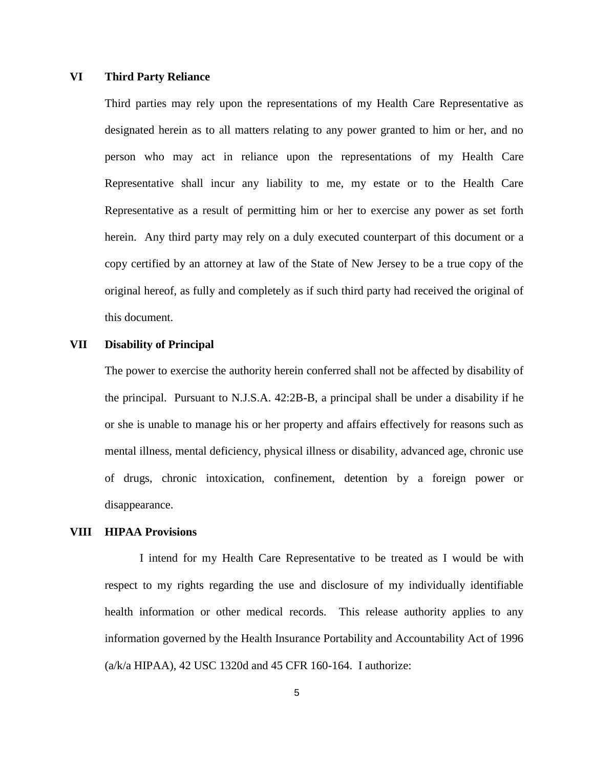## **VI Third Party Reliance**

Third parties may rely upon the representations of my Health Care Representative as designated herein as to all matters relating to any power granted to him or her, and no person who may act in reliance upon the representations of my Health Care Representative shall incur any liability to me, my estate or to the Health Care Representative as a result of permitting him or her to exercise any power as set forth herein. Any third party may rely on a duly executed counterpart of this document or a copy certified by an attorney at law of the State of New Jersey to be a true copy of the original hereof, as fully and completely as if such third party had received the original of this document.

#### **VII Disability of Principal**

The power to exercise the authority herein conferred shall not be affected by disability of the principal. Pursuant to N.J.S.A. 42:2B-B, a principal shall be under a disability if he or she is unable to manage his or her property and affairs effectively for reasons such as mental illness, mental deficiency, physical illness or disability, advanced age, chronic use of drugs, chronic intoxication, confinement, detention by a foreign power or disappearance.

#### **VIII HIPAA Provisions**

I intend for my Health Care Representative to be treated as I would be with respect to my rights regarding the use and disclosure of my individually identifiable health information or other medical records. This release authority applies to any information governed by the Health Insurance Portability and Accountability Act of 1996 (a/k/a HIPAA), 42 USC 1320d and 45 CFR 160-164. I authorize: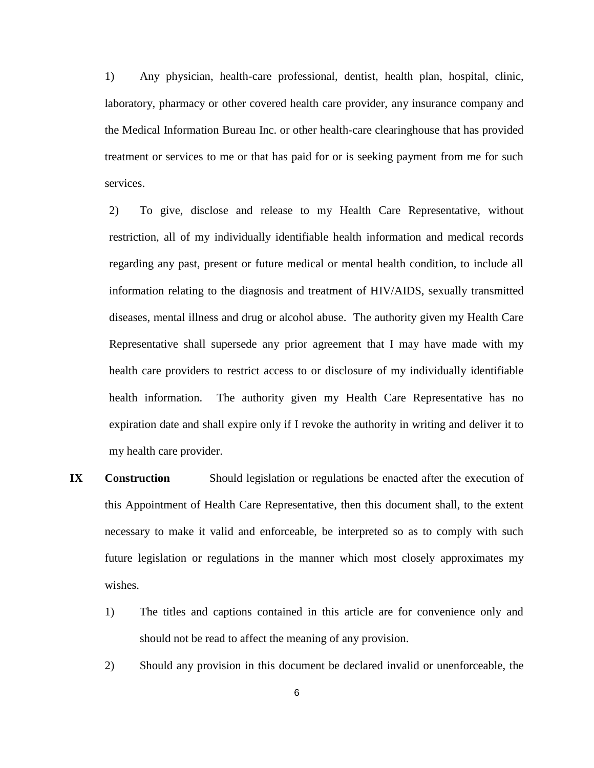1) Any physician, health-care professional, dentist, health plan, hospital, clinic, laboratory, pharmacy or other covered health care provider, any insurance company and the Medical Information Bureau Inc. or other health-care clearinghouse that has provided treatment or services to me or that has paid for or is seeking payment from me for such services.

2) To give, disclose and release to my Health Care Representative, without restriction, all of my individually identifiable health information and medical records regarding any past, present or future medical or mental health condition, to include all information relating to the diagnosis and treatment of HIV/AIDS, sexually transmitted diseases, mental illness and drug or alcohol abuse. The authority given my Health Care Representative shall supersede any prior agreement that I may have made with my health care providers to restrict access to or disclosure of my individually identifiable health information. The authority given my Health Care Representative has no expiration date and shall expire only if I revoke the authority in writing and deliver it to my health care provider.

- **IX Construction** Should legislation or regulations be enacted after the execution of this Appointment of Health Care Representative, then this document shall, to the extent necessary to make it valid and enforceable, be interpreted so as to comply with such future legislation or regulations in the manner which most closely approximates my wishes.
	- 1) The titles and captions contained in this article are for convenience only and should not be read to affect the meaning of any provision.
	- 2) Should any provision in this document be declared invalid or unenforceable, the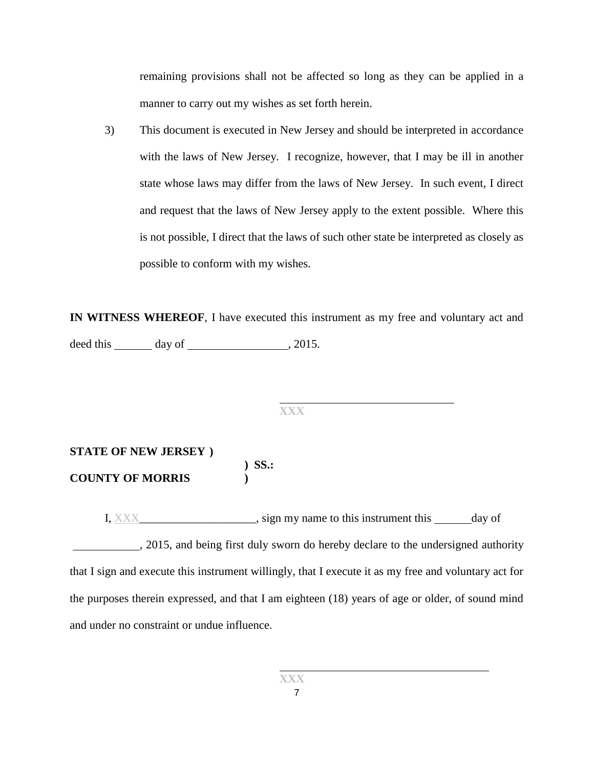remaining provisions shall not be affected so long as they can be applied in a manner to carry out my wishes as set forth herein.

3) This document is executed in New Jersey and should be interpreted in accordance with the laws of New Jersey. I recognize, however, that I may be ill in another state whose laws may differ from the laws of New Jersey. In such event, I direct and request that the laws of New Jersey apply to the extent possible. Where this is not possible, I direct that the laws of such other state be interpreted as closely as possible to conform with my wishes.

**IN WITNESS WHEREOF**, I have executed this instrument as my free and voluntary act and deed this day of , 2015.

**XXX**

# **STATE OF NEW JERSEY ) ) SS.: COUNTY OF MORRIS )**

I, XXX superson is sign my name to this instrument this day of , 2015, and being first duly sworn do hereby declare to the undersigned authority that I sign and execute this instrument willingly, that I execute it as my free and voluntary act for the purposes therein expressed, and that I am eighteen (18) years of age or older, of sound mind and under no constraint or undue influence.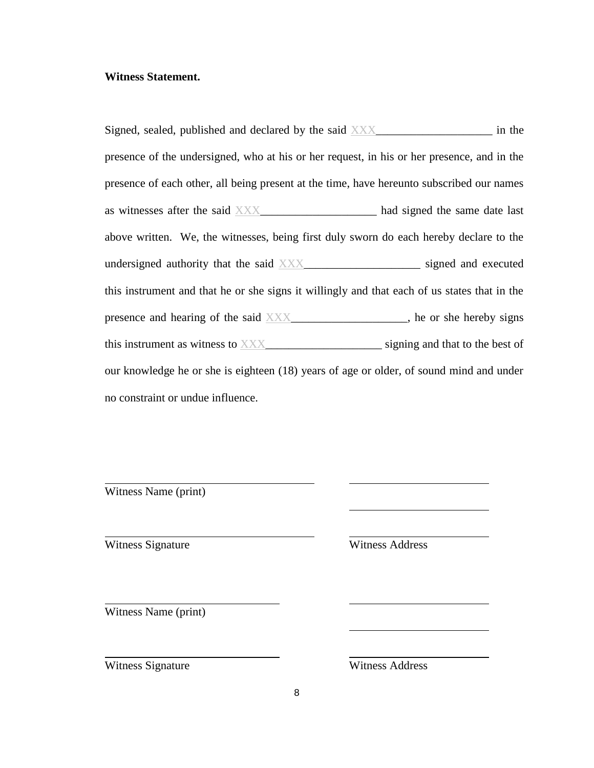## **Witness Statement.**

Signed, sealed, published and declared by the said  $\overline{XXX}$  \_\_\_\_\_\_\_\_\_\_\_\_\_\_\_\_\_ in the presence of the undersigned, who at his or her request, in his or her presence, and in the presence of each other, all being present at the time, have hereunto subscribed our names as witnesses after the said XXX\_\_\_\_\_\_\_\_\_\_\_\_\_\_\_\_\_\_\_\_ had signed the same date last above written. We, the witnesses, being first duly sworn do each hereby declare to the undersigned authority that the said XXX\_\_\_\_\_\_\_\_\_\_\_\_\_\_\_\_\_\_\_\_\_\_\_ signed and executed this instrument and that he or she signs it willingly and that each of us states that in the presence and hearing of the said XXX\_\_\_\_\_\_\_\_\_\_\_\_\_\_\_\_, he or she hereby signs this instrument as witness to XXX\_\_\_\_\_\_\_\_\_\_\_\_\_\_\_\_\_\_\_\_\_\_\_\_\_\_ signing and that to the best of our knowledge he or she is eighteen (18) years of age or older, of sound mind and under no constraint or undue influence.

Witness Name (print)

Witness Signature Witness Address

Witness Name (print)

Witness Signature Witness Address